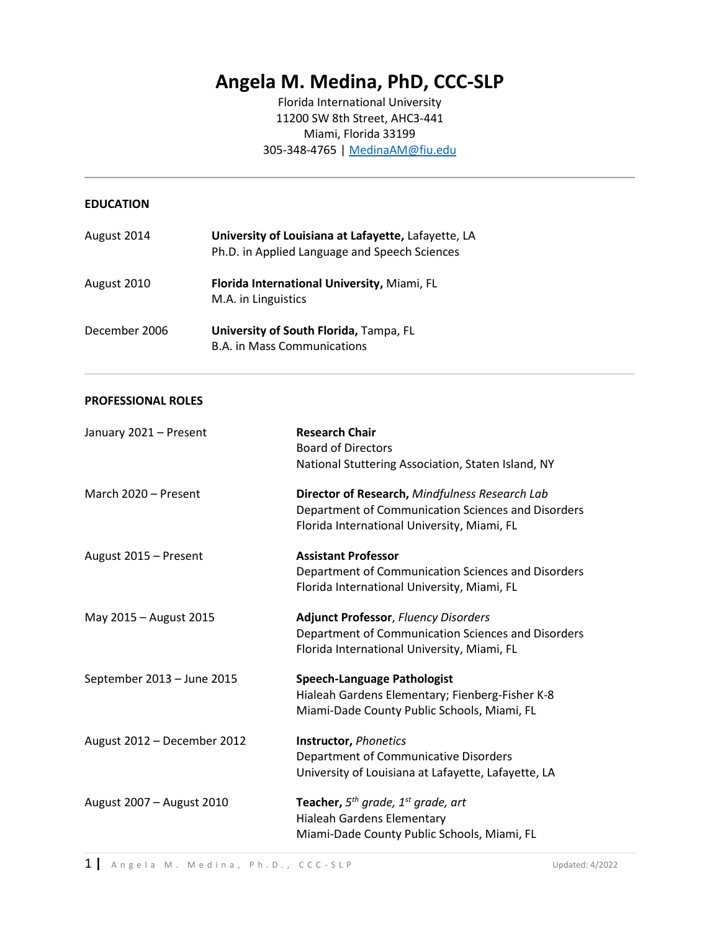# **Angela M. Medina, PhD, CCC-SLP**

Florida International University 11200 SW 8th Street, AHC3-441 Miami, Florida 33199 305-348-4765 | [MedinaAM@fiu.edu](mailto:MedinaAM@fiu.edu)

#### **EDUCATION**

| August 2014   | University of Louisiana at Lafayette, Lafayette, LA<br>Ph.D. in Applied Language and Speech Sciences |
|---------------|------------------------------------------------------------------------------------------------------|
| August 2010   | Florida International University, Miami, FL<br>M.A. in Linguistics                                   |
| December 2006 | University of South Florida, Tampa, FL<br><b>B.A. in Mass Communications</b>                         |

#### **PROFESSIONAL ROLES**

| January 2021 - Present      | <b>Research Chair</b><br><b>Board of Directors</b><br>National Stuttering Association, Staten Island, NY                                            |
|-----------------------------|-----------------------------------------------------------------------------------------------------------------------------------------------------|
| March 2020 - Present        | Director of Research, Mindfulness Research Lab<br>Department of Communication Sciences and Disorders<br>Florida International University, Miami, FL |
| August 2015 - Present       | <b>Assistant Professor</b><br>Department of Communication Sciences and Disorders<br>Florida International University, Miami, FL                     |
| May 2015 - August 2015      | <b>Adjunct Professor, Fluency Disorders</b><br>Department of Communication Sciences and Disorders<br>Florida International University, Miami, FL    |
| September 2013 - June 2015  | <b>Speech-Language Pathologist</b><br>Hialeah Gardens Elementary; Fienberg-Fisher K-8<br>Miami-Dade County Public Schools, Miami, FL                |
| August 2012 - December 2012 | <b>Instructor, Phonetics</b><br>Department of Communicative Disorders<br>University of Louisiana at Lafayette, Lafayette, LA                        |
| August 2007 - August 2010   | <b>Teacher,</b> $5^{th}$ grade, $1^{st}$ grade, art<br>Hialeah Gardens Elementary<br>Miami-Dade County Public Schools, Miami, FL                    |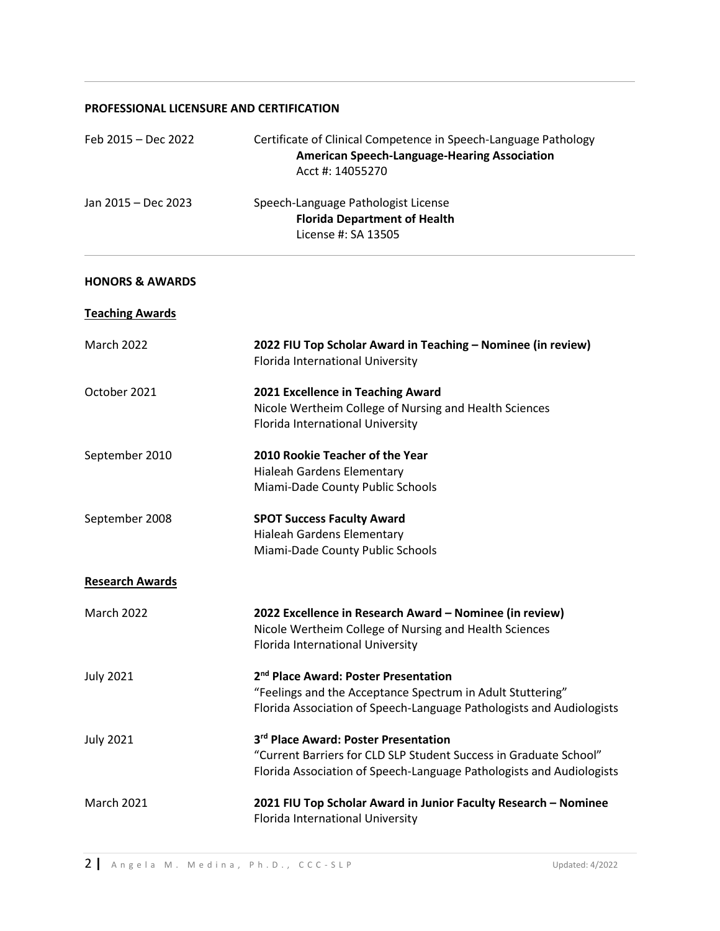#### **PROFESSIONAL LICENSURE AND CERTIFICATION**

| Feb 2015 - Dec 2022        | Certificate of Clinical Competence in Speech-Language Pathology<br><b>American Speech-Language-Hearing Association</b><br>Acct #: 14055270                                             |
|----------------------------|----------------------------------------------------------------------------------------------------------------------------------------------------------------------------------------|
| Jan 2015 - Dec 2023        | Speech-Language Pathologist License<br><b>Florida Department of Health</b><br>License #: SA 13505                                                                                      |
| <b>HONORS &amp; AWARDS</b> |                                                                                                                                                                                        |
| <b>Teaching Awards</b>     |                                                                                                                                                                                        |
| March 2022                 | 2022 FIU Top Scholar Award in Teaching - Nominee (in review)<br>Florida International University                                                                                       |
| October 2021               | 2021 Excellence in Teaching Award<br>Nicole Wertheim College of Nursing and Health Sciences<br>Florida International University                                                        |
| September 2010             | 2010 Rookie Teacher of the Year<br>Hialeah Gardens Elementary<br>Miami-Dade County Public Schools                                                                                      |
| September 2008             | <b>SPOT Success Faculty Award</b><br>Hialeah Gardens Elementary<br>Miami-Dade County Public Schools                                                                                    |
| <b>Research Awards</b>     |                                                                                                                                                                                        |
| March 2022                 | 2022 Excellence in Research Award - Nominee (in review)<br>Nicole Wertheim College of Nursing and Health Sciences<br>Florida International University                                  |
| <b>July 2021</b>           | 2 <sup>nd</sup> Place Award: Poster Presentation<br>"Feelings and the Acceptance Spectrum in Adult Stuttering"<br>Florida Association of Speech-Language Pathologists and Audiologists |
| <b>July 2021</b>           | 3rd Place Award: Poster Presentation<br>"Current Barriers for CLD SLP Student Success in Graduate School"<br>Florida Association of Speech-Language Pathologists and Audiologists      |
| <b>March 2021</b>          | 2021 FIU Top Scholar Award in Junior Faculty Research - Nominee<br>Florida International University                                                                                    |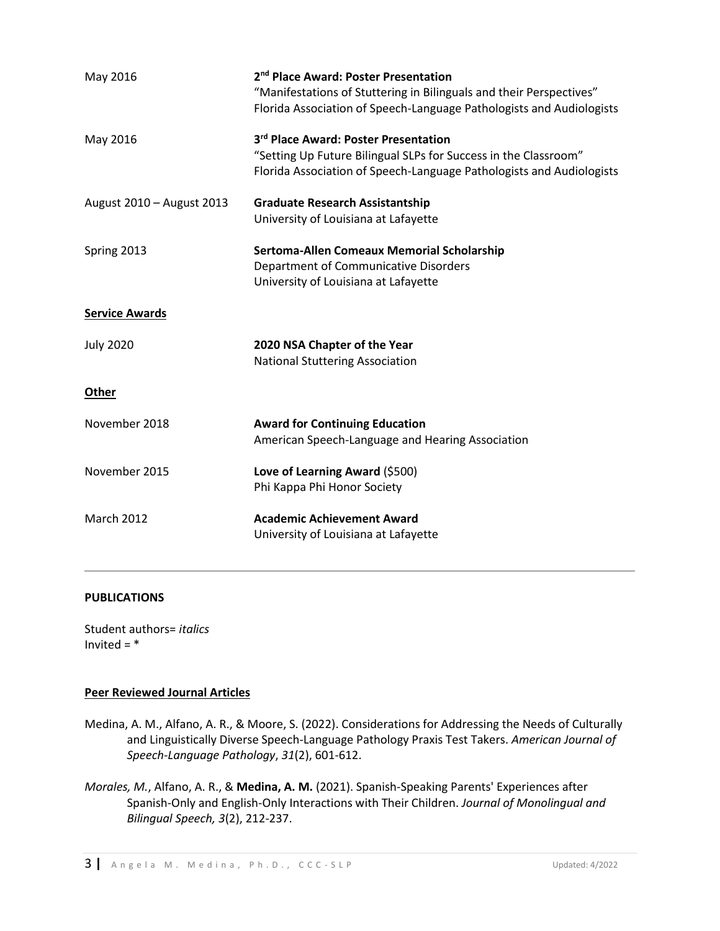| May 2016                  | 2 <sup>nd</sup> Place Award: Poster Presentation<br>"Manifestations of Stuttering in Bilinguals and their Perspectives"<br>Florida Association of Speech-Language Pathologists and Audiologists |
|---------------------------|-------------------------------------------------------------------------------------------------------------------------------------------------------------------------------------------------|
| May 2016                  | 3rd Place Award: Poster Presentation<br>"Setting Up Future Bilingual SLPs for Success in the Classroom"<br>Florida Association of Speech-Language Pathologists and Audiologists                 |
| August 2010 - August 2013 | <b>Graduate Research Assistantship</b><br>University of Louisiana at Lafayette                                                                                                                  |
| Spring 2013               | Sertoma-Allen Comeaux Memorial Scholarship<br>Department of Communicative Disorders<br>University of Louisiana at Lafayette                                                                     |
| <b>Service Awards</b>     |                                                                                                                                                                                                 |
| <b>July 2020</b>          | 2020 NSA Chapter of the Year<br><b>National Stuttering Association</b>                                                                                                                          |
| <b>Other</b>              |                                                                                                                                                                                                 |
| November 2018             | <b>Award for Continuing Education</b><br>American Speech-Language and Hearing Association                                                                                                       |
| November 2015             | Love of Learning Award (\$500)<br>Phi Kappa Phi Honor Society                                                                                                                                   |
| <b>March 2012</b>         | <b>Academic Achievement Award</b><br>University of Louisiana at Lafayette                                                                                                                       |
|                           |                                                                                                                                                                                                 |

# **PUBLICATIONS**

Student authors= *italics* Invited  $=$   $*$ 

## **Peer Reviewed Journal Articles**

- Medina, A. M., Alfano, A. R., & Moore, S. (2022). Considerations for Addressing the Needs of Culturally and Linguistically Diverse Speech-Language Pathology Praxis Test Takers. *American Journal of Speech-Language Pathology*, *31*(2), 601-612.
- *Morales, M.*, Alfano, A. R., & **Medina, A. M.** (2021). Spanish-Speaking Parents' Experiences after Spanish-Only and English-Only Interactions with Their Children. *Journal of Monolingual and Bilingual Speech, 3*(2), 212-237.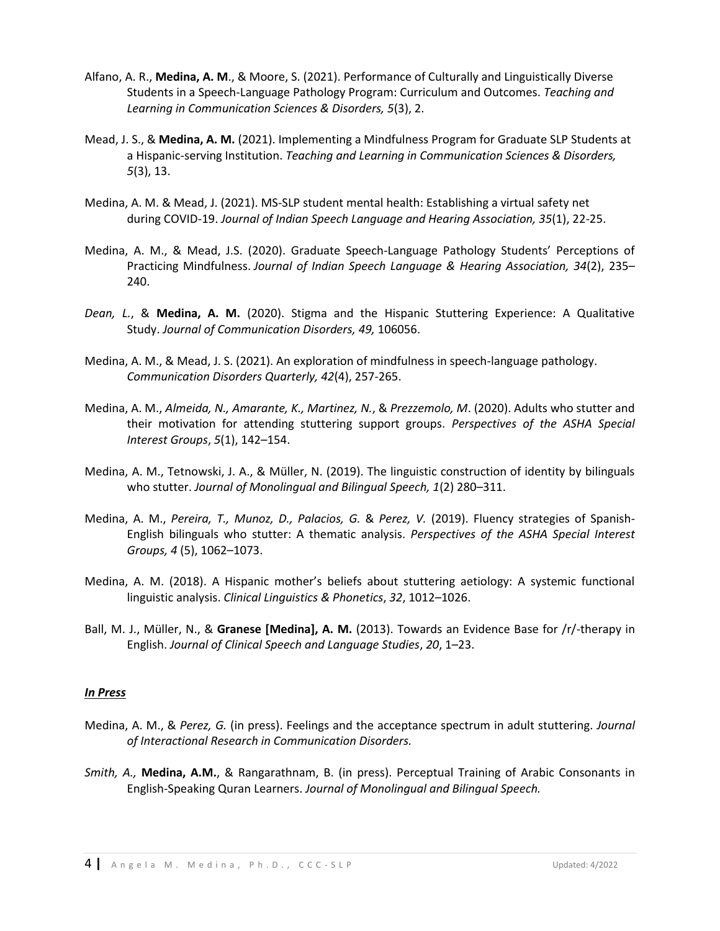- Alfano, A. R., **Medina, A. M**., & Moore, S. (2021). Performance of Culturally and Linguistically Diverse Students in a Speech-Language Pathology Program: Curriculum and Outcomes. *Teaching and Learning in Communication Sciences & Disorders, 5*(3), 2.
- Mead, J. S., & **Medina, A. M.** (2021). Implementing a Mindfulness Program for Graduate SLP Students at a Hispanic-serving Institution. *Teaching and Learning in Communication Sciences & Disorders, 5*(3), 13.
- Medina, A. M. & Mead, J. (2021). MS-SLP student mental health: Establishing a virtual safety net during COVID-19. *Journal of Indian Speech Language and Hearing Association, 35*(1), 22-25.
- Medina, A. M., & Mead, J.S. (2020). Graduate Speech-Language Pathology Students' Perceptions of Practicing Mindfulness. *Journal of Indian Speech Language & Hearing Association, 34*(2), 235– 240.
- *Dean, L.*, & **Medina, A. M.** (2020). Stigma and the Hispanic Stuttering Experience: A Qualitative Study. *Journal of Communication Disorders, 49,* 106056.
- Medina, A. M., & Mead, J. S. (2021). An exploration of mindfulness in speech-language pathology. *Communication Disorders Quarterly, 42*(4), 257-265.
- Medina, A. M., *Almeida, N., Amarante, K., Martinez, N.*, & *Prezzemolo, M*. (2020). Adults who stutter and their motivation for attending stuttering support groups. *Perspectives of the ASHA Special Interest Groups*, *5*(1), 142–154.
- Medina, A. M., Tetnowski, J. A., & Müller, N. (2019). The linguistic construction of identity by bilinguals who stutter. *Journal of Monolingual and Bilingual Speech, 1*(2) 280–311.
- Medina, A. M., *Pereira, T., Munoz, D., Palacios, G.* & *Perez, V.* (2019). Fluency strategies of Spanish-English bilinguals who stutter: A thematic analysis. *Perspectives of the ASHA Special Interest Groups, 4* (5), 1062–1073.
- Medina, A. M. (2018). A Hispanic mother's beliefs about stuttering aetiology: A systemic functional linguistic analysis. *Clinical Linguistics & Phonetics*, *32*, 1012–1026.
- Ball, M. J., Müller, N., & **Granese [Medina], A. M.** (2013). Towards an Evidence Base for /r/-therapy in English. *Journal of Clinical Speech and Language Studies*, *20*, 1–23.

#### *In Press*

- Medina, A. M., & *Perez, G.* (in press). Feelings and the acceptance spectrum in adult stuttering. *Journal of Interactional Research in Communication Disorders.*
- *Smith, A.,* **Medina, A.M.**, & Rangarathnam, B. (in press). Perceptual Training of Arabic Consonants in English-Speaking Quran Learners. *Journal of Monolingual and Bilingual Speech.*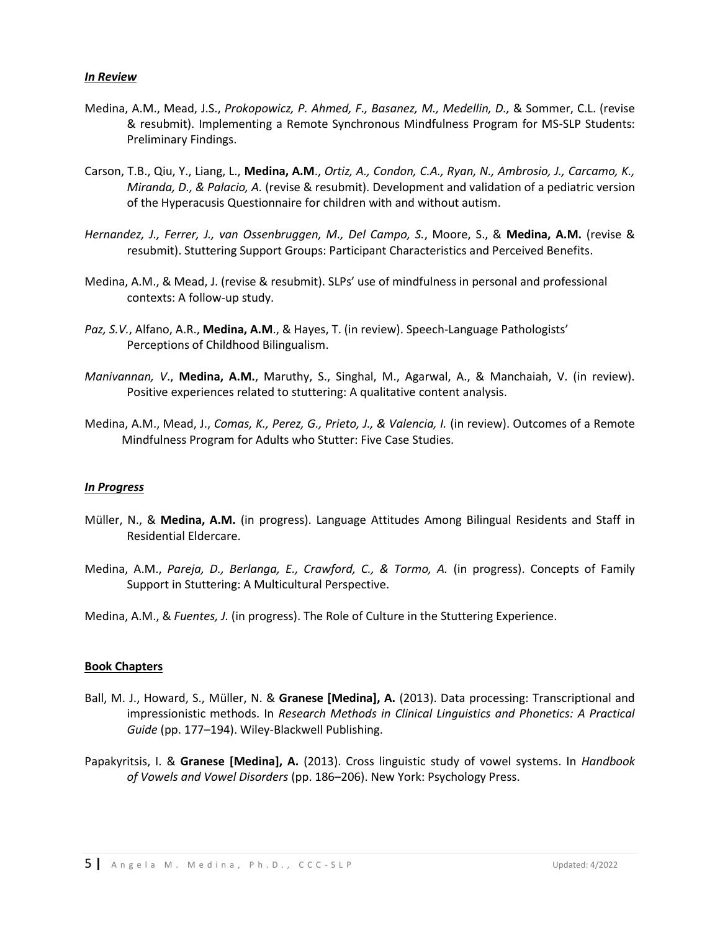#### *In Review*

- Medina, A.M., Mead, J.S., *Prokopowicz, P. Ahmed, F., Basanez, M., Medellin, D.,* & Sommer, C.L. (revise & resubmit). Implementing a Remote Synchronous Mindfulness Program for MS-SLP Students: Preliminary Findings.
- Carson, T.B., Qiu, Y., Liang, L., **Medina, A.M**., *Ortiz, A., Condon, C.A., Ryan, N., Ambrosio, J., Carcamo, K., Miranda, D., & Palacio, A.* (revise & resubmit). Development and validation of a pediatric version of the Hyperacusis Questionnaire for children with and without autism.
- *Hernandez, J., Ferrer, J., van Ossenbruggen, M., Del Campo, S.*, Moore, S., & **Medina, A.M.** (revise & resubmit). Stuttering Support Groups: Participant Characteristics and Perceived Benefits.
- Medina, A.M., & Mead, J. (revise & resubmit). SLPs' use of mindfulness in personal and professional contexts: A follow-up study.
- *Paz, S.V.*, Alfano, A.R., **Medina, A.M**., & Hayes, T. (in review). Speech-Language Pathologists' Perceptions of Childhood Bilingualism.
- *Manivannan, V*., **Medina, A.M.**, Maruthy, S., Singhal, M., Agarwal, A., & Manchaiah, V. (in review). Positive experiences related to stuttering: A qualitative content analysis.
- Medina, A.M., Mead, J., *Comas, K., Perez, G., Prieto, J., & Valencia, I.* (in review). Outcomes of a Remote Mindfulness Program for Adults who Stutter: Five Case Studies.

#### *In Progress*

- Müller, N., & **Medina, A.M.** (in progress). Language Attitudes Among Bilingual Residents and Staff in Residential Eldercare.
- Medina, A.M., *Pareja, D., Berlanga, E., Crawford, C., & Tormo, A.* (in progress). Concepts of Family Support in Stuttering: A Multicultural Perspective.
- Medina, A.M., & *Fuentes, J.* (in progress). The Role of Culture in the Stuttering Experience.

#### **Book Chapters**

- Ball, M. J., Howard, S., Müller, N. & **Granese [Medina], A.** (2013). Data processing: Transcriptional and impressionistic methods. In *Research Methods in Clinical Linguistics and Phonetics: A Practical Guide* (pp. 177–194). Wiley-Blackwell Publishing.
- Papakyritsis, I. & **Granese [Medina], A.** (2013). Cross linguistic study of vowel systems. In *Handbook of Vowels and Vowel Disorders* (pp. 186–206). New York: Psychology Press.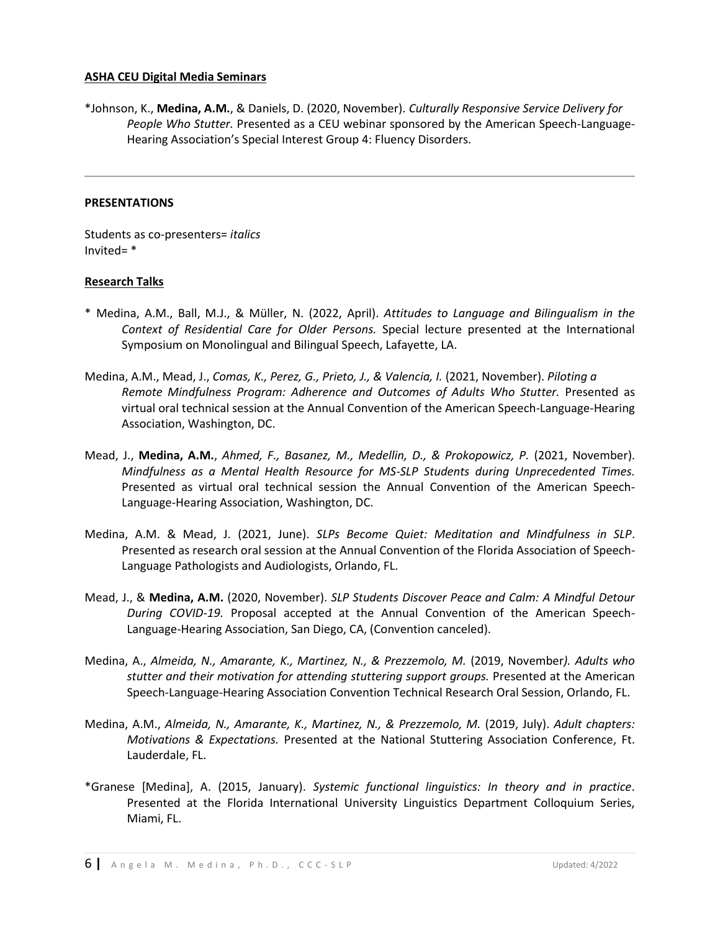#### **ASHA CEU Digital Media Seminars**

\*Johnson, K., **Medina, A.M.**, & Daniels, D. (2020, November). *Culturally Responsive Service Delivery for People Who Stutter.* Presented as a CEU webinar sponsored by the American Speech-Language-Hearing Association's Special Interest Group 4: Fluency Disorders.

#### **PRESENTATIONS**

Students as co-presenters= *italics* Invited= \*

## **Research Talks**

- \* Medina, A.M., Ball, M.J., & Müller, N. (2022, April). *Attitudes to Language and Bilingualism in the Context of Residential Care for Older Persons.* Special lecture presented at the International Symposium on Monolingual and Bilingual Speech, Lafayette, LA.
- Medina, A.M., Mead, J., *Comas, K., Perez, G., Prieto, J., & Valencia, I.* (2021, November). *Piloting a Remote Mindfulness Program: Adherence and Outcomes of Adults Who Stutter.* Presented as virtual oral technical session at the Annual Convention of the American Speech-Language-Hearing Association, Washington, DC.
- Mead, J., **Medina, A.M.**, *Ahmed, F., Basanez, M., Medellin, D., & Prokopowicz, P.* (2021, November). *Mindfulness as a Mental Health Resource for MS-SLP Students during Unprecedented Times.* Presented as virtual oral technical session the Annual Convention of the American Speech-Language-Hearing Association, Washington, DC.
- Medina, A.M. & Mead, J. (2021, June). *SLPs Become Quiet: Meditation and Mindfulness in SLP*. Presented as research oral session at the Annual Convention of the Florida Association of Speech-Language Pathologists and Audiologists, Orlando, FL.
- Mead, J., & **Medina, A.M.** (2020, November). *SLP Students Discover Peace and Calm: A Mindful Detour During COVID-19.* Proposal accepted at the Annual Convention of the American Speech-Language-Hearing Association, San Diego, CA, (Convention canceled).
- Medina, A., *Almeida, N., Amarante, K., Martinez, N., & Prezzemolo, M.* (2019, November*). Adults who stutter and their motivation for attending stuttering support groups.* Presented at the American Speech-Language-Hearing Association Convention Technical Research Oral Session, Orlando, FL.
- Medina, A.M., *Almeida, N., Amarante, K., Martinez, N., & Prezzemolo, M.* (2019, July). *Adult chapters: Motivations & Expectations.* Presented at the National Stuttering Association Conference, Ft. Lauderdale, FL.
- \*Granese [Medina], A. (2015, January). *Systemic functional linguistics: In theory and in practice*. Presented at the Florida International University Linguistics Department Colloquium Series, Miami, FL.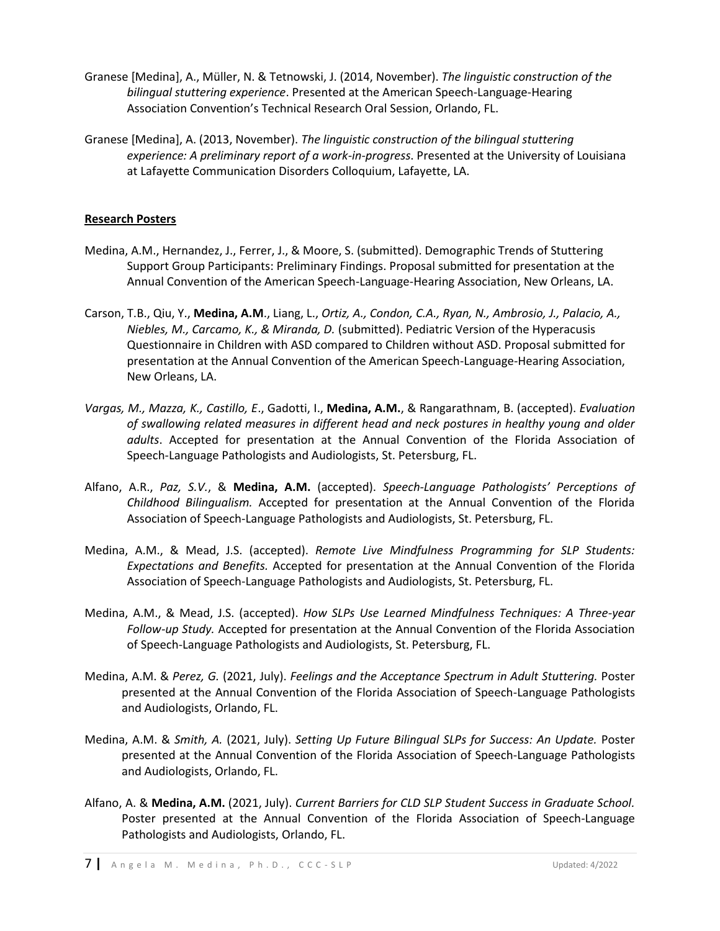- Granese [Medina], A., Müller, N. & Tetnowski, J. (2014, November). *The linguistic construction of the bilingual stuttering experience*. Presented at the American Speech-Language-Hearing Association Convention's Technical Research Oral Session, Orlando, FL.
- Granese [Medina], A. (2013, November). *The linguistic construction of the bilingual stuttering experience: A preliminary report of a work-in-progress*. Presented at the University of Louisiana at Lafayette Communication Disorders Colloquium, Lafayette, LA.

## **Research Posters**

- Medina, A.M., Hernandez, J., Ferrer, J., & Moore, S. (submitted). Demographic Trends of Stuttering Support Group Participants: Preliminary Findings. Proposal submitted for presentation at the Annual Convention of the American Speech-Language-Hearing Association, New Orleans, LA.
- Carson, T.B., Qiu, Y., **Medina, A.M**., Liang, L., *Ortiz, A., Condon, C.A., Ryan, N., Ambrosio, J., Palacio, A., Niebles, M., Carcamo, K., & Miranda, D.* (submitted). Pediatric Version of the Hyperacusis Questionnaire in Children with ASD compared to Children without ASD. Proposal submitted for presentation at the Annual Convention of the American Speech-Language-Hearing Association, New Orleans, LA.
- *Vargas, M., Mazza, K., Castillo, E*., Gadotti, I., **Medina, A.M.**, & Rangarathnam, B. (accepted). *Evaluation of swallowing related measures in different head and neck postures in healthy young and older adults*. Accepted for presentation at the Annual Convention of the Florida Association of Speech-Language Pathologists and Audiologists, St. Petersburg, FL.
- Alfano, A.R., *Paz, S.V.*, & **Medina, A.M.** (accepted). *Speech-Language Pathologists' Perceptions of Childhood Bilingualism.* Accepted for presentation at the Annual Convention of the Florida Association of Speech-Language Pathologists and Audiologists, St. Petersburg, FL.
- Medina, A.M., & Mead, J.S. (accepted). *Remote Live Mindfulness Programming for SLP Students: Expectations and Benefits.* Accepted for presentation at the Annual Convention of the Florida Association of Speech-Language Pathologists and Audiologists, St. Petersburg, FL.
- Medina, A.M., & Mead, J.S. (accepted). *How SLPs Use Learned Mindfulness Techniques: A Three-year Follow-up Study.* Accepted for presentation at the Annual Convention of the Florida Association of Speech-Language Pathologists and Audiologists, St. Petersburg, FL.
- Medina, A.M. & *Perez, G.* (2021, July). *Feelings and the Acceptance Spectrum in Adult Stuttering.* Poster presented at the Annual Convention of the Florida Association of Speech-Language Pathologists and Audiologists, Orlando, FL.
- Medina, A.M. & *Smith, A.* (2021, July). *Setting Up Future Bilingual SLPs for Success: An Update.* Poster presented at the Annual Convention of the Florida Association of Speech-Language Pathologists and Audiologists, Orlando, FL.
- Alfano, A. & **Medina, A.M.** (2021, July). *Current Barriers for CLD SLP Student Success in Graduate School.*  Poster presented at the Annual Convention of the Florida Association of Speech-Language Pathologists and Audiologists, Orlando, FL.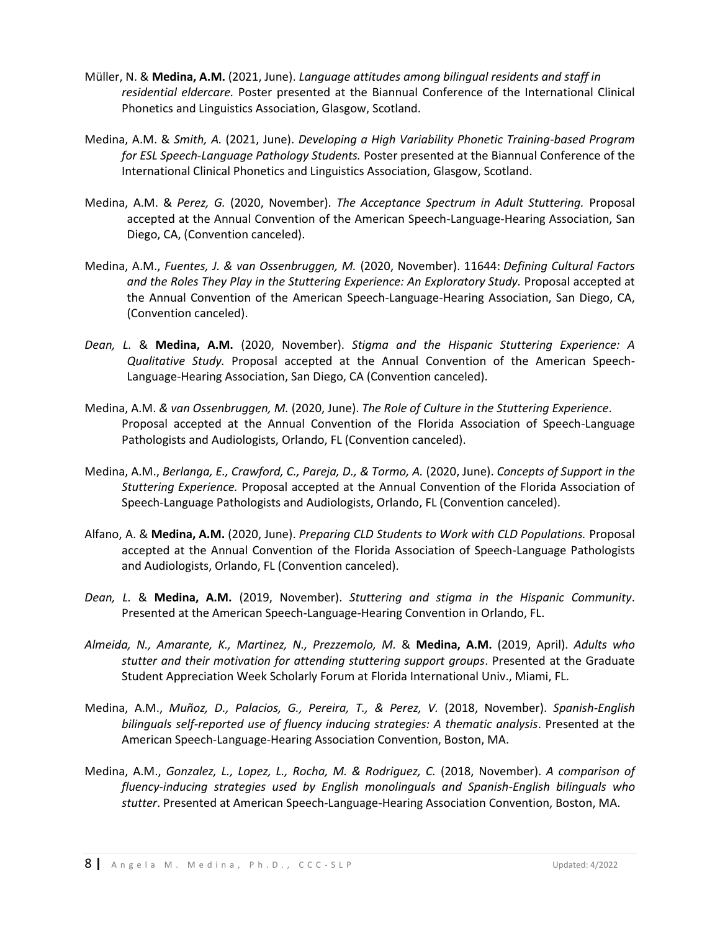- Müller, N. & **Medina, A.M.** (2021, June). *Language attitudes among bilingual residents and staff in residential eldercare.* Poster presented at the Biannual Conference of the International Clinical Phonetics and Linguistics Association, Glasgow, Scotland.
- Medina, A.M. & *Smith, A.* (2021, June). *Developing a High Variability Phonetic Training-based Program for ESL Speech-Language Pathology Students.* Poster presented at the Biannual Conference of the International Clinical Phonetics and Linguistics Association, Glasgow, Scotland.
- Medina, A.M. & *Perez, G.* (2020, November). *The Acceptance Spectrum in Adult Stuttering.* Proposal accepted at the Annual Convention of the American Speech-Language-Hearing Association, San Diego, CA, (Convention canceled).
- Medina, A.M., *Fuentes, J. & van Ossenbruggen, M.* (2020, November). 11644: *Defining Cultural Factors and the Roles They Play in the Stuttering Experience: An Exploratory Study.* Proposal accepted at the Annual Convention of the American Speech-Language-Hearing Association, San Diego, CA, (Convention canceled).
- *Dean, L.* & **Medina, A.M.** (2020, November). *Stigma and the Hispanic Stuttering Experience: A Qualitative Study.* Proposal accepted at the Annual Convention of the American Speech-Language-Hearing Association, San Diego, CA (Convention canceled).
- Medina, A.M. *& van Ossenbruggen, M.* (2020, June). *The Role of Culture in the Stuttering Experience*. Proposal accepted at the Annual Convention of the Florida Association of Speech-Language Pathologists and Audiologists, Orlando, FL (Convention canceled).
- Medina, A.M., *Berlanga, E., Crawford, C., Pareja, D., & Tormo, A.* (2020, June). *Concepts of Support in the Stuttering Experience.* Proposal accepted at the Annual Convention of the Florida Association of Speech-Language Pathologists and Audiologists, Orlando, FL (Convention canceled).
- Alfano, A. & **Medina, A.M.** (2020, June). *Preparing CLD Students to Work with CLD Populations.* Proposal accepted at the Annual Convention of the Florida Association of Speech-Language Pathologists and Audiologists, Orlando, FL (Convention canceled).
- *Dean, L.* & **Medina, A.M.** (2019, November). *Stuttering and stigma in the Hispanic Community*. Presented at the American Speech-Language-Hearing Convention in Orlando, FL.
- *Almeida, N., Amarante, K., Martinez, N., Prezzemolo, M.* & **Medina, A.M.** (2019, April). *Adults who stutter and their motivation for attending stuttering support groups*. Presented at the Graduate Student Appreciation Week Scholarly Forum at Florida International Univ., Miami, FL.
- Medina, A.M., *Muñoz, D., Palacios, G., Pereira, T., & Perez, V.* (2018, November). *Spanish-English bilinguals self-reported use of fluency inducing strategies: A thematic analysis*. Presented at the American Speech-Language-Hearing Association Convention, Boston, MA.
- Medina, A.M., *Gonzalez, L., Lopez, L., Rocha, M. & Rodriguez, C.* (2018, November). *A comparison of fluency-inducing strategies used by English monolinguals and Spanish-English bilinguals who stutter*. Presented at American Speech-Language-Hearing Association Convention, Boston, MA.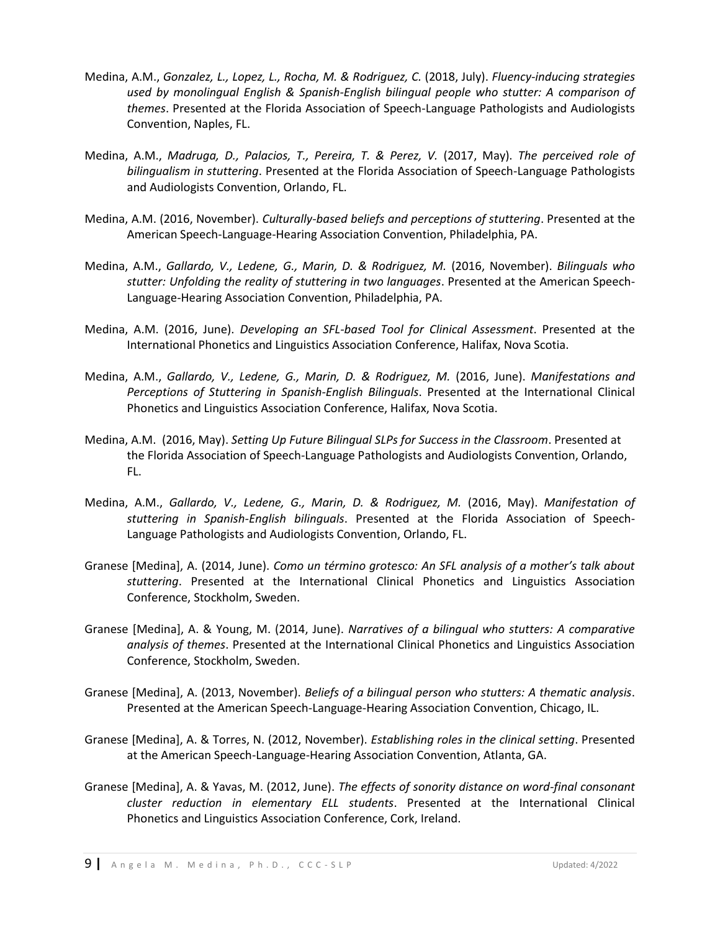- Medina, A.M., *Gonzalez, L., Lopez, L., Rocha, M. & Rodriguez, C.* (2018, July). *Fluency-inducing strategies used by monolingual English & Spanish-English bilingual people who stutter: A comparison of themes*. Presented at the Florida Association of Speech-Language Pathologists and Audiologists Convention, Naples, FL.
- Medina, A.M., *Madruga, D., Palacios, T., Pereira, T. & Perez, V.* (2017, May). *The perceived role of bilingualism in stuttering*. Presented at the Florida Association of Speech-Language Pathologists and Audiologists Convention, Orlando, FL.
- Medina, A.M. (2016, November). *Culturally-based beliefs and perceptions of stuttering*. Presented at the American Speech-Language-Hearing Association Convention, Philadelphia, PA.
- Medina, A.M., *Gallardo, V., Ledene, G., Marin, D. & Rodriguez, M.* (2016, November). *Bilinguals who stutter: Unfolding the reality of stuttering in two languages*. Presented at the American Speech-Language-Hearing Association Convention, Philadelphia, PA.
- Medina, A.M. (2016, June). *Developing an SFL-based Tool for Clinical Assessment*. Presented at the International Phonetics and Linguistics Association Conference, Halifax, Nova Scotia.
- Medina, A.M., *Gallardo, V., Ledene, G., Marin, D. & Rodriguez, M.* (2016, June). *Manifestations and Perceptions of Stuttering in Spanish-English Bilinguals*. Presented at the International Clinical Phonetics and Linguistics Association Conference, Halifax, Nova Scotia.
- Medina, A.M. (2016, May). *Setting Up Future Bilingual SLPs for Success in the Classroom*. Presented at the Florida Association of Speech-Language Pathologists and Audiologists Convention, Orlando, FL.
- Medina, A.M., *Gallardo, V., Ledene, G., Marin, D. & Rodriguez, M.* (2016, May). *Manifestation of stuttering in Spanish-English bilinguals*. Presented at the Florida Association of Speech-Language Pathologists and Audiologists Convention, Orlando, FL.
- Granese [Medina], A. (2014, June). *Como un término grotesco: An SFL analysis of a mother's talk about stuttering*. Presented at the International Clinical Phonetics and Linguistics Association Conference, Stockholm, Sweden.
- Granese [Medina], A. & Young, M. (2014, June). *Narratives of a bilingual who stutters: A comparative analysis of themes*. Presented at the International Clinical Phonetics and Linguistics Association Conference, Stockholm, Sweden.
- Granese [Medina], A. (2013, November). *Beliefs of a bilingual person who stutters: A thematic analysis*. Presented at the American Speech-Language-Hearing Association Convention, Chicago, IL.
- Granese [Medina], A. & Torres, N. (2012, November). *Establishing roles in the clinical setting*. Presented at the American Speech-Language-Hearing Association Convention, Atlanta, GA.
- Granese [Medina], A. & Yavas, M. (2012, June). *The effects of sonority distance on word-final consonant cluster reduction in elementary ELL students*. Presented at the International Clinical Phonetics and Linguistics Association Conference, Cork, Ireland.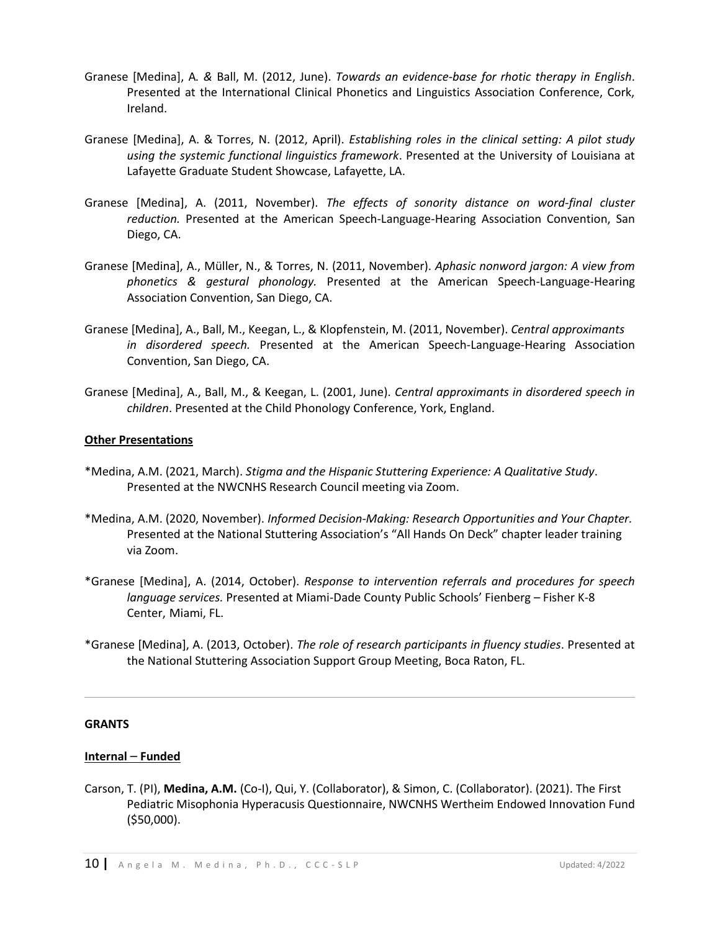- Granese [Medina], A*. &* Ball, M. (2012, June). *Towards an evidence-base for rhotic therapy in English*. Presented at the International Clinical Phonetics and Linguistics Association Conference, Cork, Ireland.
- Granese [Medina], A. & Torres, N. (2012, April). *Establishing roles in the clinical setting: A pilot study using the systemic functional linguistics framework*. Presented at the University of Louisiana at Lafayette Graduate Student Showcase, Lafayette, LA.
- Granese [Medina], A. (2011, November). *The effects of sonority distance on word-final cluster reduction.* Presented at the American Speech-Language-Hearing Association Convention, San Diego, CA.
- Granese [Medina], A., Müller, N., & Torres, N. (2011, November). *Aphasic nonword jargon: A view from phonetics & gestural phonology.* Presented at the American Speech-Language-Hearing Association Convention, San Diego, CA.
- Granese [Medina], A., Ball, M., Keegan, L., & Klopfenstein, M. (2011, November). *Central approximants in disordered speech.* Presented at the American Speech-Language-Hearing Association Convention, San Diego, CA.
- Granese [Medina], A., Ball, M., & Keegan, L. (2001, June). *Central approximants in disordered speech in children*. Presented at the Child Phonology Conference, York, England.

#### **Other Presentations**

- \*Medina, A.M. (2021, March). *Stigma and the Hispanic Stuttering Experience: A Qualitative Study*. Presented at the NWCNHS Research Council meeting via Zoom.
- \*Medina, A.M. (2020, November). *Informed Decision-Making: Research Opportunities and Your Chapter.* Presented at the National Stuttering Association's "All Hands On Deck" chapter leader training via Zoom.
- \*Granese [Medina], A. (2014, October). *Response to intervention referrals and procedures for speech language services.* Presented at Miami-Dade County Public Schools' Fienberg – Fisher K-8 Center, Miami, FL.
- \*Granese [Medina], A. (2013, October). *The role of research participants in fluency studies*. Presented at the National Stuttering Association Support Group Meeting, Boca Raton, FL.

#### **GRANTS**

## **Internal** – **Funded**

Carson, T. (PI), **Medina, A.M.** (Co-I), Qui, Y. (Collaborator), & Simon, C. (Collaborator). (2021). The First Pediatric Misophonia Hyperacusis Questionnaire, NWCNHS Wertheim Endowed Innovation Fund (\$50,000).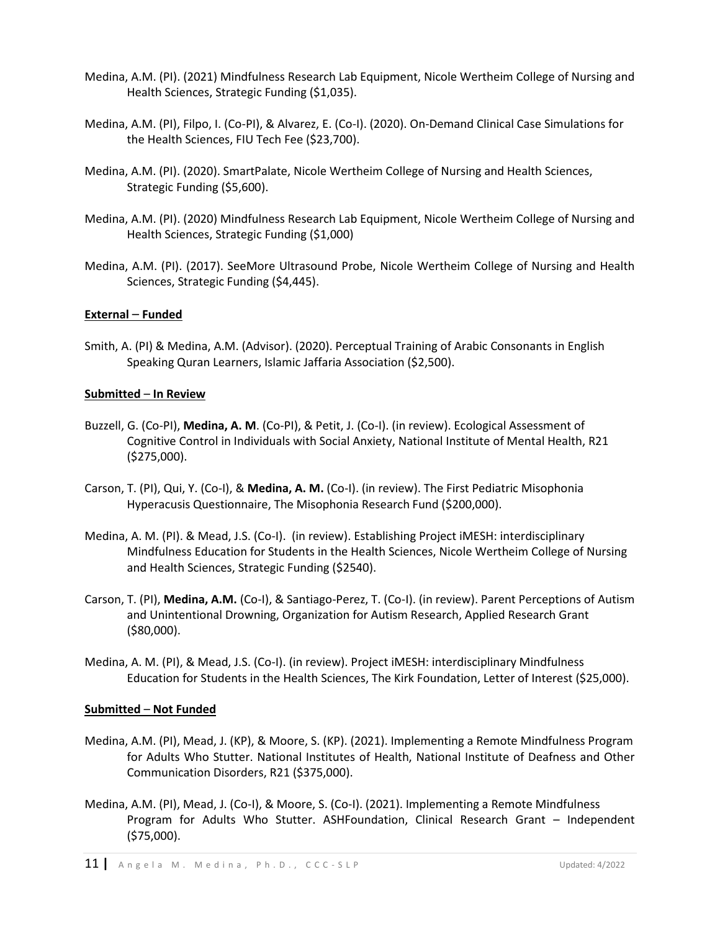- Medina, A.M. (PI). (2021) Mindfulness Research Lab Equipment, Nicole Wertheim College of Nursing and Health Sciences, Strategic Funding (\$1,035).
- Medina, A.M. (PI), Filpo, I. (Co-PI), & Alvarez, E. (Co-I). (2020). On-Demand Clinical Case Simulations for the Health Sciences, FIU Tech Fee (\$23,700).
- Medina, A.M. (PI). (2020). SmartPalate, Nicole Wertheim College of Nursing and Health Sciences, Strategic Funding (\$5,600).
- Medina, A.M. (PI). (2020) Mindfulness Research Lab Equipment, Nicole Wertheim College of Nursing and Health Sciences, Strategic Funding (\$1,000)
- Medina, A.M. (PI). (2017). SeeMore Ultrasound Probe, Nicole Wertheim College of Nursing and Health Sciences, Strategic Funding (\$4,445).

#### **External** – **Funded**

Smith, A. (PI) & Medina, A.M. (Advisor). (2020). Perceptual Training of Arabic Consonants in English Speaking Quran Learners, Islamic Jaffaria Association (\$2,500).

#### **Submitted** – **In Review**

- Buzzell, G. (Co-PI), **Medina, A. M**. (Co-PI), & Petit, J. (Co-I). (in review). Ecological Assessment of Cognitive Control in Individuals with Social Anxiety, National Institute of Mental Health, R21 (\$275,000).
- Carson, T. (PI), Qui, Y. (Co-I), & **Medina, A. M.** (Co-I). (in review). The First Pediatric Misophonia Hyperacusis Questionnaire, The Misophonia Research Fund (\$200,000).
- Medina, A. M. (PI). & Mead, J.S. (Co-I). (in review). Establishing Project iMESH: interdisciplinary Mindfulness Education for Students in the Health Sciences, Nicole Wertheim College of Nursing and Health Sciences, Strategic Funding (\$2540).
- Carson, T. (PI), **Medina, A.M.** (Co-I), & Santiago-Perez, T. (Co-I). (in review). Parent Perceptions of Autism and Unintentional Drowning, Organization for Autism Research, Applied Research Grant (\$80,000).
- Medina, A. M. (PI), & Mead, J.S. (Co-I). (in review). Project iMESH: interdisciplinary Mindfulness Education for Students in the Health Sciences, The Kirk Foundation, Letter of Interest (\$25,000).

## **Submitted** – **Not Funded**

- Medina, A.M. (PI), Mead, J. (KP), & Moore, S. (KP). (2021). Implementing a Remote Mindfulness Program for Adults Who Stutter. National Institutes of Health, National Institute of Deafness and Other Communication Disorders, R21 (\$375,000).
- Medina, A.M. (PI), Mead, J. (Co-I), & Moore, S. (Co-I). (2021). Implementing a Remote Mindfulness Program for Adults Who Stutter. ASHFoundation, Clinical Research Grant – Independent (\$75,000).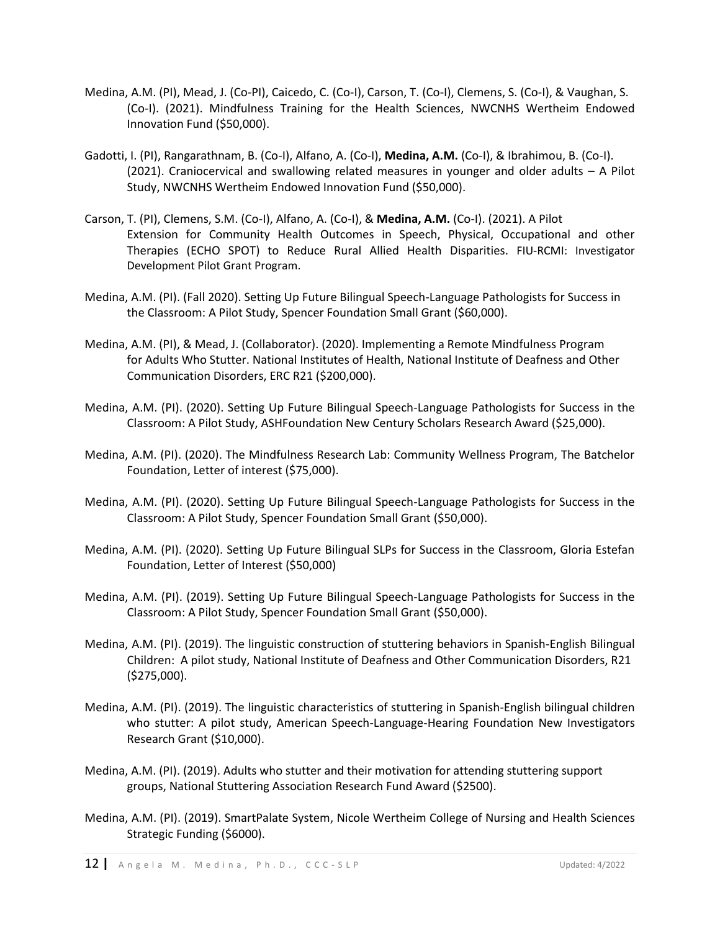- Medina, A.M. (PI), Mead, J. (Co-PI), Caicedo, C. (Co-I), Carson, T. (Co-I), Clemens, S. (Co-I), & Vaughan, S. (Co-I). (2021). Mindfulness Training for the Health Sciences, NWCNHS Wertheim Endowed Innovation Fund (\$50,000).
- Gadotti, I. (PI), Rangarathnam, B. (Co-I), Alfano, A. (Co-I), **Medina, A.M.** (Co-I), & Ibrahimou, B. (Co-I). (2021). Craniocervical and swallowing related measures in younger and older adults – A Pilot Study, NWCNHS Wertheim Endowed Innovation Fund (\$50,000).
- Carson, T. (PI), Clemens, S.M. (Co-I), Alfano, A. (Co-I), & **Medina, A.M.** (Co-I). (2021). A Pilot Extension for Community Health Outcomes in Speech, Physical, Occupational and other Therapies (ECHO SPOT) to Reduce Rural Allied Health Disparities. FIU-RCMI: Investigator Development Pilot Grant Program.
- Medina, A.M. (PI). (Fall 2020). Setting Up Future Bilingual Speech-Language Pathologists for Success in the Classroom: A Pilot Study, Spencer Foundation Small Grant (\$60,000).
- Medina, A.M. (PI), & Mead, J. (Collaborator). (2020). Implementing a Remote Mindfulness Program for Adults Who Stutter. National Institutes of Health, National Institute of Deafness and Other Communication Disorders, ERC R21 (\$200,000).
- Medina, A.M. (PI). (2020). Setting Up Future Bilingual Speech-Language Pathologists for Success in the Classroom: A Pilot Study, ASHFoundation New Century Scholars Research Award (\$25,000).
- Medina, A.M. (PI). (2020). The Mindfulness Research Lab: Community Wellness Program, The Batchelor Foundation, Letter of interest (\$75,000).
- Medina, A.M. (PI). (2020). Setting Up Future Bilingual Speech-Language Pathologists for Success in the Classroom: A Pilot Study, Spencer Foundation Small Grant (\$50,000).
- Medina, A.M. (PI). (2020). Setting Up Future Bilingual SLPs for Success in the Classroom, Gloria Estefan Foundation, Letter of Interest (\$50,000)
- Medina, A.M. (PI). (2019). Setting Up Future Bilingual Speech-Language Pathologists for Success in the Classroom: A Pilot Study, Spencer Foundation Small Grant (\$50,000).
- Medina, A.M. (PI). (2019). The linguistic construction of stuttering behaviors in Spanish-English Bilingual Children: A pilot study, National Institute of Deafness and Other Communication Disorders, R21 (\$275,000).
- Medina, A.M. (PI). (2019). The linguistic characteristics of stuttering in Spanish-English bilingual children who stutter: A pilot study, American Speech-Language-Hearing Foundation New Investigators Research Grant (\$10,000).
- Medina, A.M. (PI). (2019). Adults who stutter and their motivation for attending stuttering support groups, National Stuttering Association Research Fund Award (\$2500).
- Medina, A.M. (PI). (2019). SmartPalate System, Nicole Wertheim College of Nursing and Health Sciences Strategic Funding (\$6000).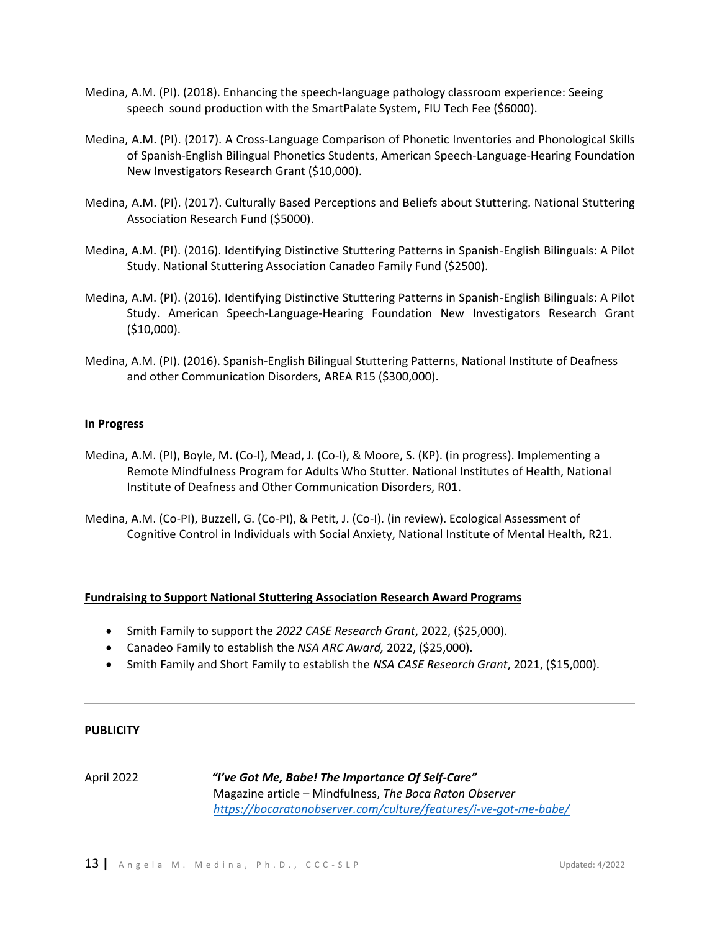- Medina, A.M. (PI). (2018). Enhancing the speech-language pathology classroom experience: Seeing speech sound production with the SmartPalate System, FIU Tech Fee (\$6000).
- Medina, A.M. (PI). (2017). A Cross-Language Comparison of Phonetic Inventories and Phonological Skills of Spanish-English Bilingual Phonetics Students, American Speech-Language-Hearing Foundation New Investigators Research Grant (\$10,000).
- Medina, A.M. (PI). (2017). Culturally Based Perceptions and Beliefs about Stuttering. National Stuttering Association Research Fund (\$5000).
- Medina, A.M. (PI). (2016). Identifying Distinctive Stuttering Patterns in Spanish-English Bilinguals: A Pilot Study. National Stuttering Association Canadeo Family Fund (\$2500).
- Medina, A.M. (PI). (2016). Identifying Distinctive Stuttering Patterns in Spanish-English Bilinguals: A Pilot Study. American Speech-Language-Hearing Foundation New Investigators Research Grant (\$10,000).
- Medina, A.M. (PI). (2016). Spanish-English Bilingual Stuttering Patterns, National Institute of Deafness and other Communication Disorders, AREA R15 (\$300,000).

## **In Progress**

- Medina, A.M. (PI), Boyle, M. (Co-I), Mead, J. (Co-I), & Moore, S. (KP). (in progress). Implementing a Remote Mindfulness Program for Adults Who Stutter. National Institutes of Health, National Institute of Deafness and Other Communication Disorders, R01.
- Medina, A.M. (Co-PI), Buzzell, G. (Co-PI), & Petit, J. (Co-I). (in review). Ecological Assessment of Cognitive Control in Individuals with Social Anxiety, National Institute of Mental Health, R21.

#### **Fundraising to Support National Stuttering Association Research Award Programs**

- Smith Family to support the *2022 CASE Research Grant*, 2022, (\$25,000).
- Canadeo Family to establish the *NSA ARC Award,* 2022, (\$25,000).
- Smith Family and Short Family to establish the *NSA CASE Research Grant*, 2021, (\$15,000).

#### **PUBLICITY**

April 2022 *"I've Got Me, Babe! The Importance Of Self-Care"* Magazine article – Mindfulness, *The Boca Raton Observer <https://bocaratonobserver.com/culture/features/i-ve-got-me-babe/>*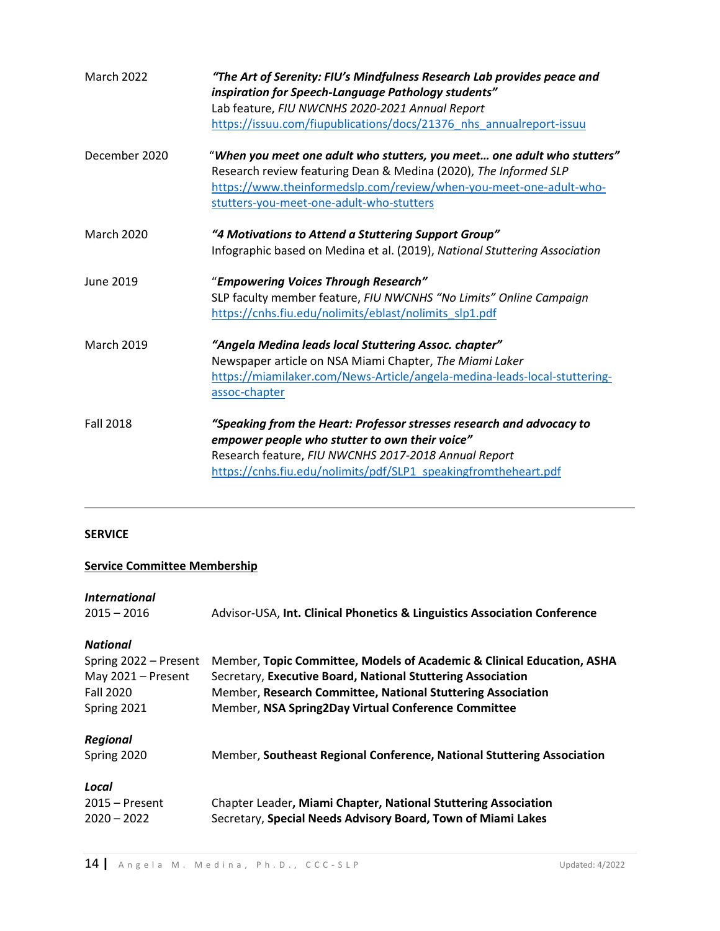| <b>March 2022</b> | "The Art of Serenity: FIU's Mindfulness Research Lab provides peace and<br>inspiration for Speech-Language Pathology students"<br>Lab feature, FIU NWCNHS 2020-2021 Annual Report<br>https://issuu.com/fiupublications/docs/21376 nhs annualreport-issuu      |
|-------------------|---------------------------------------------------------------------------------------------------------------------------------------------------------------------------------------------------------------------------------------------------------------|
| December 2020     | "When you meet one adult who stutters, you meet one adult who stutters"<br>Research review featuring Dean & Medina (2020), The Informed SLP<br>https://www.theinformedslp.com/review/when-you-meet-one-adult-who-<br>stutters-you-meet-one-adult-who-stutters |
| <b>March 2020</b> | "4 Motivations to Attend a Stuttering Support Group"<br>Infographic based on Medina et al. (2019), National Stuttering Association                                                                                                                            |
| <b>June 2019</b>  | "Empowering Voices Through Research"<br>SLP faculty member feature, FIU NWCNHS "No Limits" Online Campaign<br>https://cnhs.fiu.edu/nolimits/eblast/nolimits_slp1.pdf                                                                                          |
| <b>March 2019</b> | "Angela Medina leads local Stuttering Assoc. chapter"<br>Newspaper article on NSA Miami Chapter, The Miami Laker<br>https://miamilaker.com/News-Article/angela-medina-leads-local-stuttering-<br>assoc-chapter                                                |
| <b>Fall 2018</b>  | "Speaking from the Heart: Professor stresses research and advocacy to<br>empower people who stutter to own their voice"<br>Research feature, FIU NWCNHS 2017-2018 Annual Report<br>https://cnhs.fiu.edu/nolimits/pdf/SLP1 speakingfromtheheart.pdf            |

# **SERVICE**

# **Service Committee Membership**

| <i><u><b>International</b></u></i><br>$2015 - 2016$ | Advisor-USA, Int. Clinical Phonetics & Linguistics Association Conference |
|-----------------------------------------------------|---------------------------------------------------------------------------|
| <b>National</b>                                     |                                                                           |
| Spring 2022 - Present                               | Member, Topic Committee, Models of Academic & Clinical Education, ASHA    |
| May 2021 - Present                                  | Secretary, Executive Board, National Stuttering Association               |
| <b>Fall 2020</b>                                    | Member, Research Committee, National Stuttering Association               |
| Spring 2021                                         | Member, NSA Spring2Day Virtual Conference Committee                       |
| <b>Regional</b>                                     |                                                                           |
| Spring 2020                                         | Member, Southeast Regional Conference, National Stuttering Association    |
| Local                                               |                                                                           |
| $2015 -$ Present                                    | Chapter Leader, Miami Chapter, National Stuttering Association            |
| $2020 - 2022$                                       | Secretary, Special Needs Advisory Board, Town of Miami Lakes              |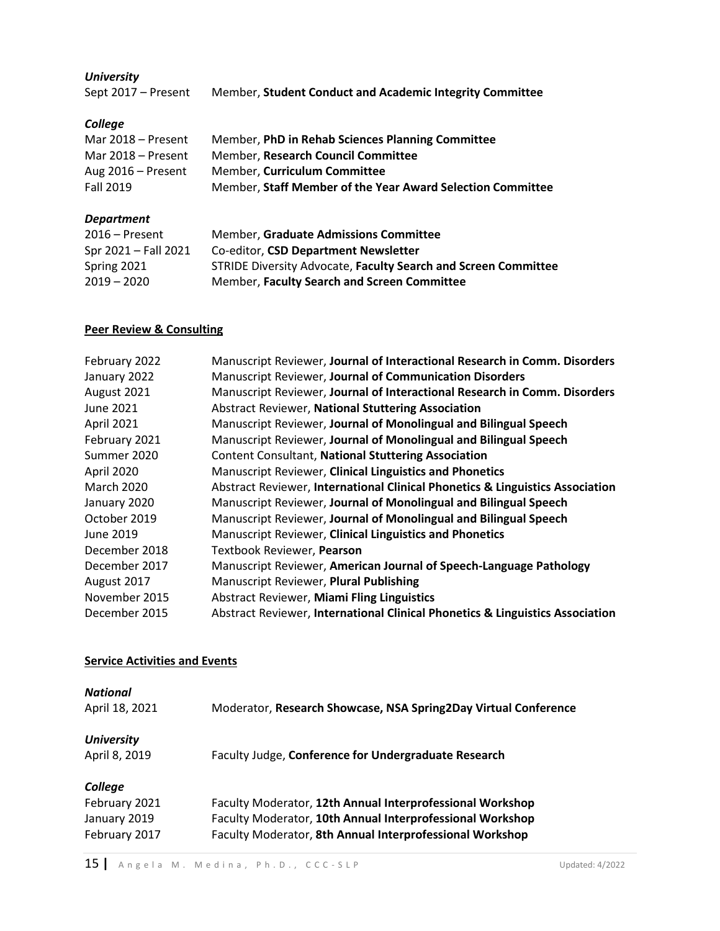# *University*

| Sept 2017 – Present | Member, Student Conduct and Academic Integrity Committee |
|---------------------|----------------------------------------------------------|
|---------------------|----------------------------------------------------------|

# *College*

| Member, PhD in Rehab Sciences Planning Committee           |
|------------------------------------------------------------|
| Member, Research Council Committee                         |
| Member. Curriculum Committee                               |
| Member, Staff Member of the Year Award Selection Committee |
|                                                            |

# *Department*

| STRIDE Diversity Advocate, Faculty Search and Screen Committee |
|----------------------------------------------------------------|
|                                                                |
|                                                                |

# **Peer Review & Consulting**

| February 2022     | Manuscript Reviewer, Journal of Interactional Research in Comm. Disorders     |
|-------------------|-------------------------------------------------------------------------------|
| January 2022      | Manuscript Reviewer, Journal of Communication Disorders                       |
| August 2021       | Manuscript Reviewer, Journal of Interactional Research in Comm. Disorders     |
| June 2021         | Abstract Reviewer, National Stuttering Association                            |
| April 2021        | Manuscript Reviewer, Journal of Monolingual and Bilingual Speech              |
| February 2021     | Manuscript Reviewer, Journal of Monolingual and Bilingual Speech              |
| Summer 2020       | <b>Content Consultant, National Stuttering Association</b>                    |
| April 2020        | Manuscript Reviewer, Clinical Linguistics and Phonetics                       |
| <b>March 2020</b> | Abstract Reviewer, International Clinical Phonetics & Linguistics Association |
| January 2020      | Manuscript Reviewer, Journal of Monolingual and Bilingual Speech              |
| October 2019      | Manuscript Reviewer, Journal of Monolingual and Bilingual Speech              |
| June 2019         | Manuscript Reviewer, Clinical Linguistics and Phonetics                       |
| December 2018     | Textbook Reviewer, Pearson                                                    |
| December 2017     | Manuscript Reviewer, American Journal of Speech-Language Pathology            |
| August 2017       | Manuscript Reviewer, Plural Publishing                                        |
| November 2015     | <b>Abstract Reviewer, Miami Fling Linguistics</b>                             |
| December 2015     | Abstract Reviewer, International Clinical Phonetics & Linguistics Association |

# **Service Activities and Events**

| <b>National</b>   |                                                                 |
|-------------------|-----------------------------------------------------------------|
| April 18, 2021    | Moderator, Research Showcase, NSA Spring2Day Virtual Conference |
| <b>University</b> |                                                                 |
| April 8, 2019     | Faculty Judge, Conference for Undergraduate Research            |
| College           |                                                                 |
| February 2021     | Faculty Moderator, 12th Annual Interprofessional Workshop       |
| January 2019      | Faculty Moderator, 10th Annual Interprofessional Workshop       |
| February 2017     | Faculty Moderator, 8th Annual Interprofessional Workshop        |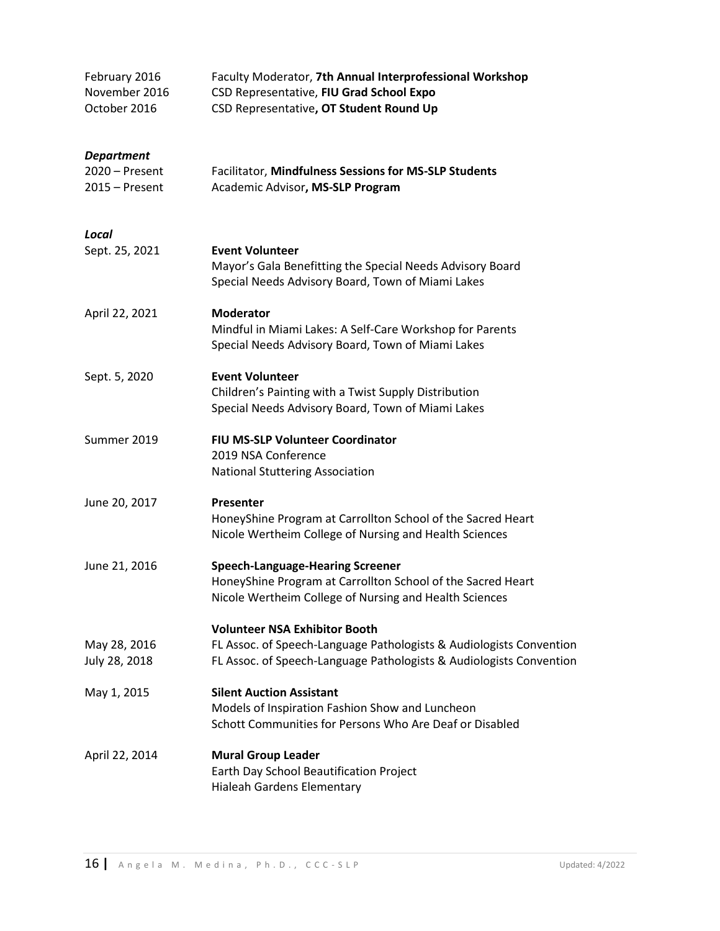| February 2016<br>November 2016<br>October 2016          | Faculty Moderator, 7th Annual Interprofessional Workshop<br>CSD Representative, FIU Grad School Expo<br>CSD Representative, OT Student Round Up                                    |
|---------------------------------------------------------|------------------------------------------------------------------------------------------------------------------------------------------------------------------------------------|
| <b>Department</b><br>2020 - Present<br>$2015 -$ Present | Facilitator, Mindfulness Sessions for MS-SLP Students<br>Academic Advisor, MS-SLP Program                                                                                          |
| Local<br>Sept. 25, 2021                                 | <b>Event Volunteer</b><br>Mayor's Gala Benefitting the Special Needs Advisory Board<br>Special Needs Advisory Board, Town of Miami Lakes                                           |
| April 22, 2021                                          | <b>Moderator</b><br>Mindful in Miami Lakes: A Self-Care Workshop for Parents<br>Special Needs Advisory Board, Town of Miami Lakes                                                  |
| Sept. 5, 2020                                           | <b>Event Volunteer</b><br>Children's Painting with a Twist Supply Distribution<br>Special Needs Advisory Board, Town of Miami Lakes                                                |
| Summer 2019                                             | FIU MS-SLP Volunteer Coordinator<br>2019 NSA Conference<br><b>National Stuttering Association</b>                                                                                  |
| June 20, 2017                                           | Presenter<br>HoneyShine Program at Carrollton School of the Sacred Heart<br>Nicole Wertheim College of Nursing and Health Sciences                                                 |
| June 21, 2016                                           | <b>Speech-Language-Hearing Screener</b><br>HoneyShine Program at Carrollton School of the Sacred Heart<br>Nicole Wertheim College of Nursing and Health Sciences                   |
| May 28, 2016<br>July 28, 2018                           | <b>Volunteer NSA Exhibitor Booth</b><br>FL Assoc. of Speech-Language Pathologists & Audiologists Convention<br>FL Assoc. of Speech-Language Pathologists & Audiologists Convention |
| May 1, 2015                                             | <b>Silent Auction Assistant</b><br>Models of Inspiration Fashion Show and Luncheon<br>Schott Communities for Persons Who Are Deaf or Disabled                                      |
| April 22, 2014                                          | <b>Mural Group Leader</b><br>Earth Day School Beautification Project<br>Hialeah Gardens Elementary                                                                                 |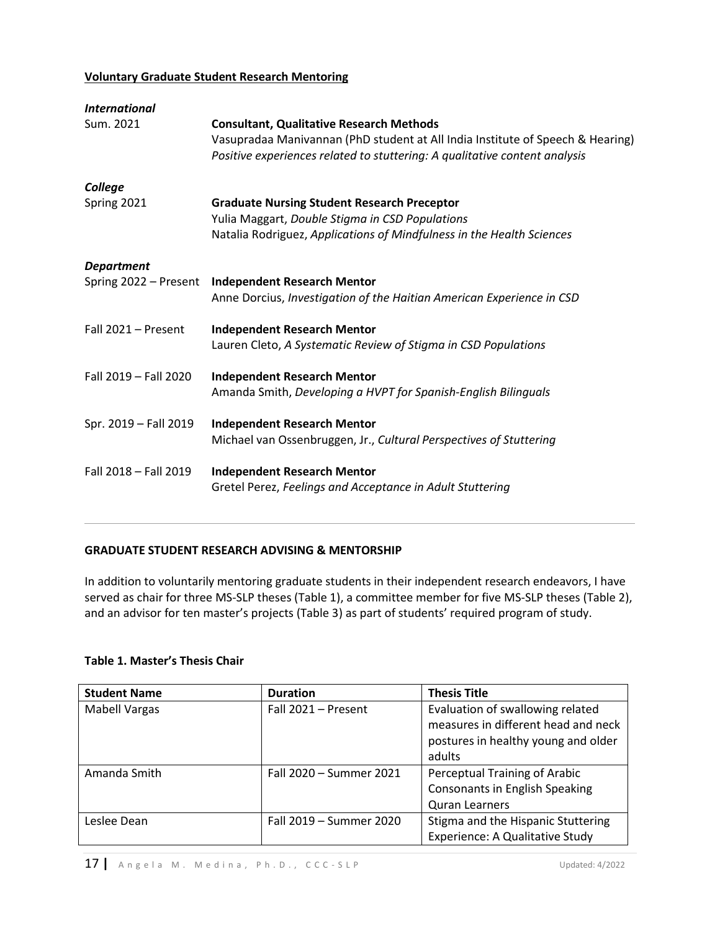# **Voluntary Graduate Student Research Mentoring**

| <i><b>International</b></i> |                                                                                                                                                                                                                 |
|-----------------------------|-----------------------------------------------------------------------------------------------------------------------------------------------------------------------------------------------------------------|
| Sum. 2021                   | <b>Consultant, Qualitative Research Methods</b><br>Vasupradaa Manivannan (PhD student at All India Institute of Speech & Hearing)<br>Positive experiences related to stuttering: A qualitative content analysis |
| College                     |                                                                                                                                                                                                                 |
| Spring 2021                 | <b>Graduate Nursing Student Research Preceptor</b><br>Yulia Maggart, Double Stigma in CSD Populations<br>Natalia Rodriguez, Applications of Mindfulness in the Health Sciences                                  |
| <b>Department</b>           |                                                                                                                                                                                                                 |
| Spring 2022 - Present       | <b>Independent Research Mentor</b><br>Anne Dorcius, Investigation of the Haitian American Experience in CSD                                                                                                     |
| Fall 2021 - Present         | <b>Independent Research Mentor</b><br>Lauren Cleto, A Systematic Review of Stigma in CSD Populations                                                                                                            |
| Fall 2019 - Fall 2020       | <b>Independent Research Mentor</b><br>Amanda Smith, Developing a HVPT for Spanish-English Bilinguals                                                                                                            |
| Spr. 2019 - Fall 2019       | <b>Independent Research Mentor</b><br>Michael van Ossenbruggen, Jr., Cultural Perspectives of Stuttering                                                                                                        |
| Fall 2018 - Fall 2019       | <b>Independent Research Mentor</b><br>Gretel Perez, Feelings and Acceptance in Adult Stuttering                                                                                                                 |
|                             |                                                                                                                                                                                                                 |

## **GRADUATE STUDENT RESEARCH ADVISING & MENTORSHIP**

In addition to voluntarily mentoring graduate students in their independent research endeavors, I have served as chair for three MS-SLP theses (Table 1), a committee member for five MS-SLP theses (Table 2), and an advisor for ten master's projects (Table 3) as part of students' required program of study.

## **Table 1. Master's Thesis Chair**

| <b>Student Name</b>  | <b>Duration</b>         | <b>Thesis Title</b>                                                                                            |
|----------------------|-------------------------|----------------------------------------------------------------------------------------------------------------|
| <b>Mabell Vargas</b> | Fall 2021 - Present     | Evaluation of swallowing related<br>measures in different head and neck<br>postures in healthy young and older |
|                      |                         | adults                                                                                                         |
| Amanda Smith         | Fall 2020 - Summer 2021 | Perceptual Training of Arabic                                                                                  |
|                      |                         | <b>Consonants in English Speaking</b>                                                                          |
|                      |                         | <b>Quran Learners</b>                                                                                          |
| Leslee Dean          | Fall 2019 - Summer 2020 | Stigma and the Hispanic Stuttering                                                                             |
|                      |                         | Experience: A Qualitative Study                                                                                |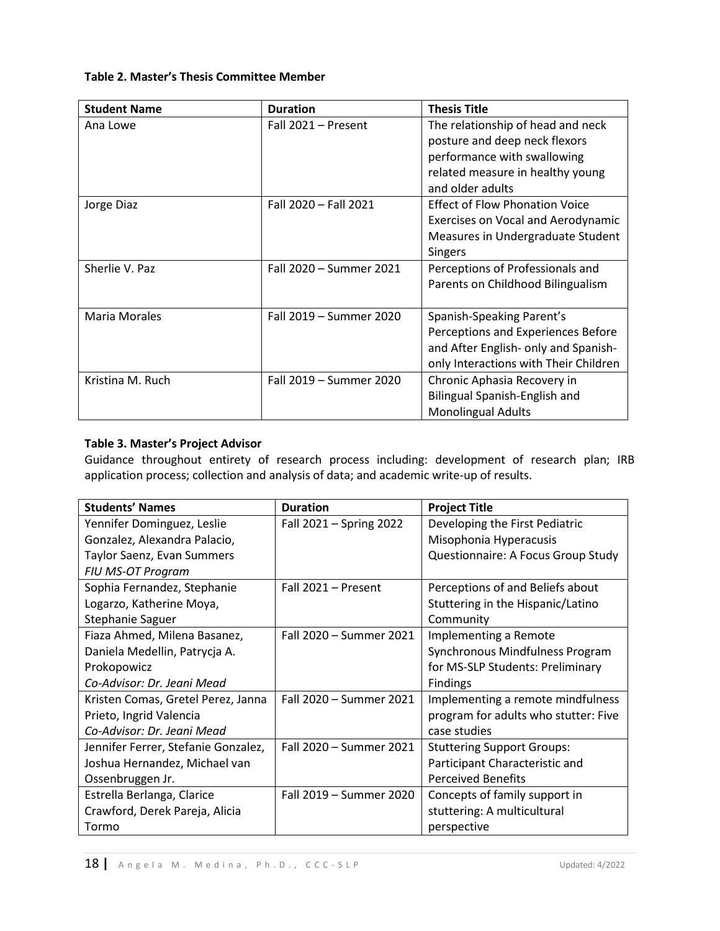## **Table 2. Master's Thesis Committee Member**

| <b>Student Name</b>  | <b>Duration</b>         | <b>Thesis Title</b>                   |
|----------------------|-------------------------|---------------------------------------|
| Ana Lowe             | Fall 2021 - Present     | The relationship of head and neck     |
|                      |                         | posture and deep neck flexors         |
|                      |                         | performance with swallowing           |
|                      |                         | related measure in healthy young      |
|                      |                         | and older adults                      |
| Jorge Diaz           | Fall 2020 - Fall 2021   | <b>Effect of Flow Phonation Voice</b> |
|                      |                         | Exercises on Vocal and Aerodynamic    |
|                      |                         | Measures in Undergraduate Student     |
|                      |                         | <b>Singers</b>                        |
| Sherlie V. Paz       | Fall 2020 - Summer 2021 | Perceptions of Professionals and      |
|                      |                         | Parents on Childhood Bilingualism     |
|                      |                         |                                       |
| <b>Maria Morales</b> | Fall 2019 – Summer 2020 | Spanish-Speaking Parent's             |
|                      |                         | Perceptions and Experiences Before    |
|                      |                         | and After English- only and Spanish-  |
|                      |                         | only Interactions with Their Children |
| Kristina M. Ruch     | Fall 2019 - Summer 2020 | Chronic Aphasia Recovery in           |
|                      |                         | Bilingual Spanish-English and         |
|                      |                         | <b>Monolingual Adults</b>             |

# **Table 3. Master's Project Advisor**

Guidance throughout entirety of research process including: development of research plan; IRB application process; collection and analysis of data; and academic write-up of results.

| <b>Students' Names</b>              | <b>Duration</b>         | <b>Project Title</b>                 |
|-------------------------------------|-------------------------|--------------------------------------|
| Yennifer Dominguez, Leslie          | Fall 2021 - Spring 2022 | Developing the First Pediatric       |
| Gonzalez, Alexandra Palacio,        |                         | Misophonia Hyperacusis               |
| Taylor Saenz, Evan Summers          |                         | Questionnaire: A Focus Group Study   |
| FIU MS-OT Program                   |                         |                                      |
| Sophia Fernandez, Stephanie         | Fall 2021 - Present     | Perceptions of and Beliefs about     |
| Logarzo, Katherine Moya,            |                         | Stuttering in the Hispanic/Latino    |
| Stephanie Saguer                    |                         | Community                            |
| Fiaza Ahmed, Milena Basanez,        | Fall 2020 - Summer 2021 | Implementing a Remote                |
| Daniela Medellin, Patrycja A.       |                         | Synchronous Mindfulness Program      |
| Prokopowicz                         |                         | for MS-SLP Students: Preliminary     |
| Co-Advisor: Dr. Jeani Mead          |                         | <b>Findings</b>                      |
| Kristen Comas, Gretel Perez, Janna  | Fall 2020 - Summer 2021 | Implementing a remote mindfulness    |
| Prieto, Ingrid Valencia             |                         | program for adults who stutter: Five |
| Co-Advisor: Dr. Jeani Mead          |                         | case studies                         |
| Jennifer Ferrer, Stefanie Gonzalez, | Fall 2020 - Summer 2021 | <b>Stuttering Support Groups:</b>    |
| Joshua Hernandez, Michael van       |                         | Participant Characteristic and       |
| Ossenbruggen Jr.                    |                         | <b>Perceived Benefits</b>            |
| Estrella Berlanga, Clarice          | Fall 2019 - Summer 2020 | Concepts of family support in        |
| Crawford, Derek Pareja, Alicia      |                         | stuttering: A multicultural          |
| Tormo                               |                         | perspective                          |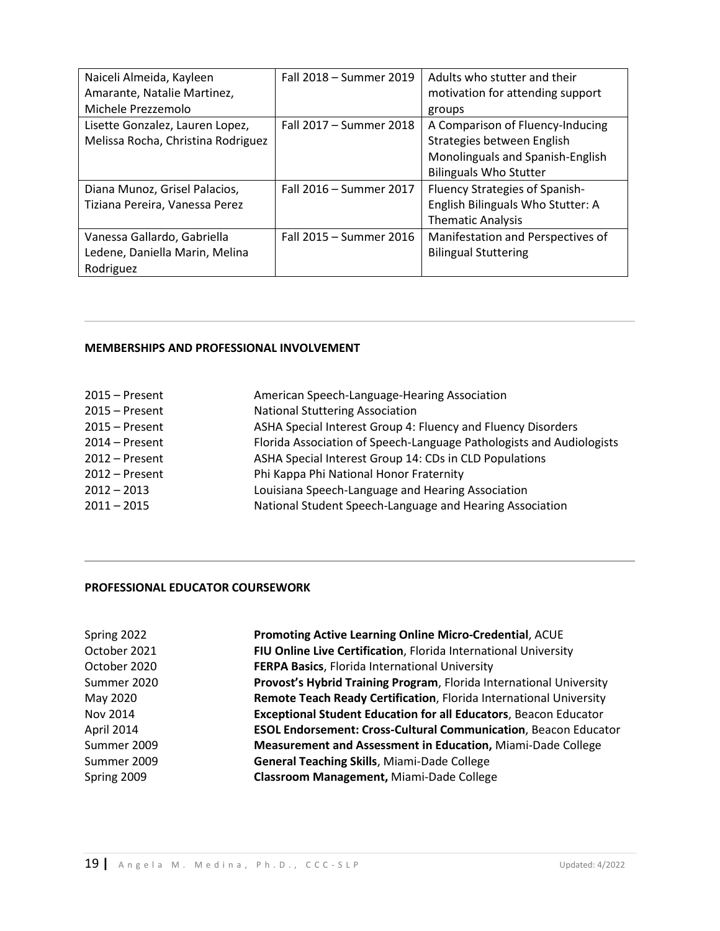| Naiceli Almeida, Kayleen           | Fall 2018 - Summer 2019 | Adults who stutter and their          |
|------------------------------------|-------------------------|---------------------------------------|
| Amarante, Natalie Martinez,        |                         | motivation for attending support      |
| Michele Prezzemolo                 |                         | groups                                |
| Lisette Gonzalez, Lauren Lopez,    | Fall 2017 - Summer 2018 | A Comparison of Fluency-Inducing      |
| Melissa Rocha, Christina Rodriguez |                         | Strategies between English            |
|                                    |                         | Monolinguals and Spanish-English      |
|                                    |                         | <b>Bilinguals Who Stutter</b>         |
| Diana Munoz, Grisel Palacios,      | Fall 2016 - Summer 2017 | <b>Fluency Strategies of Spanish-</b> |
| Tiziana Pereira, Vanessa Perez     |                         | English Bilinguals Who Stutter: A     |
|                                    |                         | <b>Thematic Analysis</b>              |
| Vanessa Gallardo, Gabriella        | Fall 2015 - Summer 2016 | Manifestation and Perspectives of     |
| Ledene, Daniella Marin, Melina     |                         | <b>Bilingual Stuttering</b>           |
| Rodriguez                          |                         |                                       |

#### **MEMBERSHIPS AND PROFESSIONAL INVOLVEMENT**

| ASHA Special Interest Group 4: Fluency and Fluency Disorders         |
|----------------------------------------------------------------------|
| Florida Association of Speech-Language Pathologists and Audiologists |
|                                                                      |
|                                                                      |
|                                                                      |
|                                                                      |
| National Student Speech-Language and Hearing Association             |

#### **PROFESSIONAL EDUCATOR COURSEWORK**

| Promoting Active Learning Online Micro-Credential, ACUE                 |
|-------------------------------------------------------------------------|
| FIU Online Live Certification, Florida International University         |
| FERPA Basics, Florida International University                          |
| Provost's Hybrid Training Program, Florida International University     |
| Remote Teach Ready Certification, Florida International University      |
| <b>Exceptional Student Education for all Educators, Beacon Educator</b> |
| <b>ESOL Endorsement: Cross-Cultural Communication</b> , Beacon Educator |
| Measurement and Assessment in Education, Miami-Dade College             |
| General Teaching Skills, Miami-Dade College                             |
| Classroom Management, Miami-Dade College                                |
|                                                                         |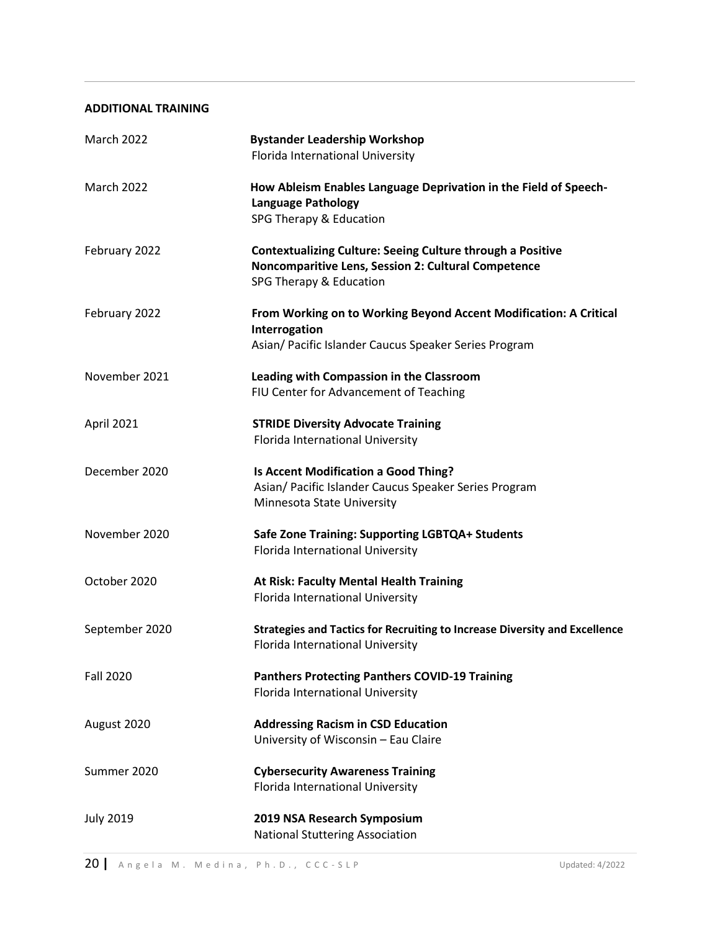#### **ADDITIONAL TRAINING**

| <b>March 2022</b> | <b>Bystander Leadership Workshop</b><br>Florida International University                                                                            |
|-------------------|-----------------------------------------------------------------------------------------------------------------------------------------------------|
| <b>March 2022</b> | How Ableism Enables Language Deprivation in the Field of Speech-<br><b>Language Pathology</b><br>SPG Therapy & Education                            |
| February 2022     | <b>Contextualizing Culture: Seeing Culture through a Positive</b><br>Noncomparitive Lens, Session 2: Cultural Competence<br>SPG Therapy & Education |
| February 2022     | From Working on to Working Beyond Accent Modification: A Critical<br>Interrogation<br>Asian/ Pacific Islander Caucus Speaker Series Program         |
| November 2021     | Leading with Compassion in the Classroom<br>FIU Center for Advancement of Teaching                                                                  |
| April 2021        | <b>STRIDE Diversity Advocate Training</b><br>Florida International University                                                                       |
| December 2020     | Is Accent Modification a Good Thing?<br>Asian/ Pacific Islander Caucus Speaker Series Program<br>Minnesota State University                         |
| November 2020     | Safe Zone Training: Supporting LGBTQA+ Students<br>Florida International University                                                                 |
| October 2020      | At Risk: Faculty Mental Health Training<br>Florida International University                                                                         |
| September 2020    | Strategies and Tactics for Recruiting to Increase Diversity and Excellence<br>Florida International University                                      |
| <b>Fall 2020</b>  | <b>Panthers Protecting Panthers COVID-19 Training</b><br>Florida International University                                                           |
| August 2020       | <b>Addressing Racism in CSD Education</b><br>University of Wisconsin - Eau Claire                                                                   |
| Summer 2020       | <b>Cybersecurity Awareness Training</b><br>Florida International University                                                                         |
| <b>July 2019</b>  | 2019 NSA Research Symposium<br><b>National Stuttering Association</b>                                                                               |